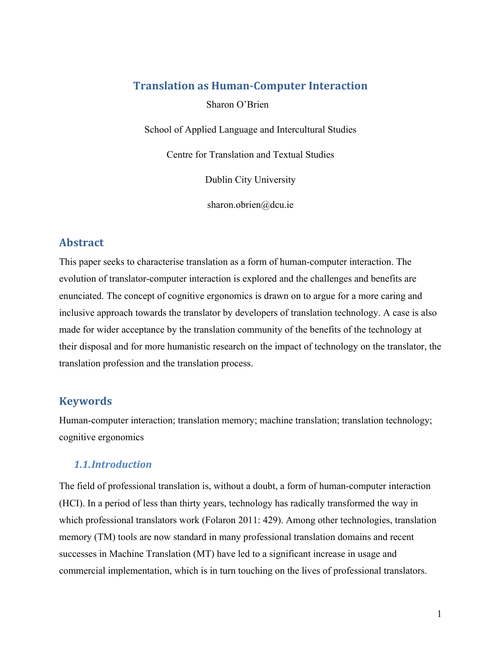# **Translation as Human-Computer Interaction**

Sharon O'Brien

School of Applied Language and Intercultural Studies

Centre for Translation and Textual Studies

Dublin City University

sharon.obrien@dcu.ie

# **Abstract**

This paper seeks to characterise translation as a form of human-computer interaction. The evolution of translator-computer interaction is explored and the challenges and benefits are enunciated. The concept of cognitive ergonomics is drawn on to argue for a more caring and inclusive approach towards the translator by developers of translation technology. A case is also made for wider acceptance by the translation community of the benefits of the technology at their disposal and for more humanistic research on the impact of technology on the translator, the translation profession and the translation process.

# **Keywords**

Human-computer interaction; translation memory; machine translation; translation technology; cognitive ergonomics

## *1.1.Introduction*

The field of professional translation is, without a doubt, a form of human-computer interaction (HCI). In a period of less than thirty years, technology has radically transformed the way in which professional translators work (Folaron 2011: 429). Among other technologies, translation memory (TM) tools are now standard in many professional translation domains and recent successes in Machine Translation (MT) have led to a significant increase in usage and commercial implementation, which is in turn touching on the lives of professional translators.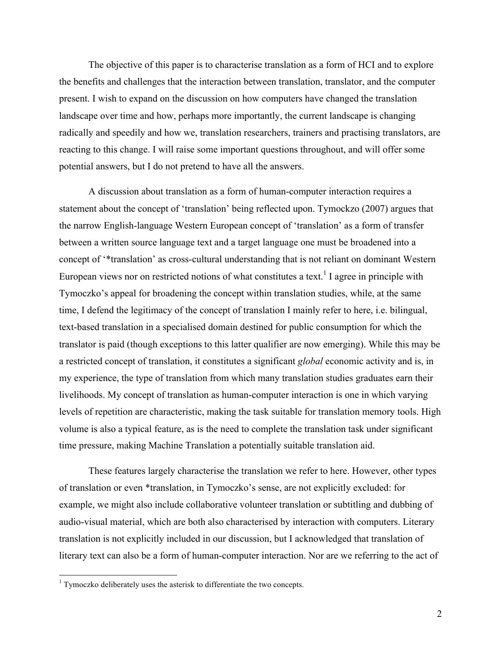The objective of this paper is to characterise translation as a form of HCI and to explore the benefits and challenges that the interaction between translation, translator, and the computer present. I wish to expand on the discussion on how computers have changed the translation landscape over time and how, perhaps more importantly, the current landscape is changing radically and speedily and how we, translation researchers, trainers and practising translators, are reacting to this change. I will raise some important questions throughout, and will offer some potential answers, but I do not pretend to have all the answers.

A discussion about translation as a form of human-computer interaction requires a statement about the concept of 'translation' being reflected upon. Tymockzo (2007) argues that the narrow English-language Western European concept of 'translation' as a form of transfer between a written source language text and a target language one must be broadened into a concept of '\*translation' as cross-cultural understanding that is not reliant on dominant Western European views nor on restricted notions of what constitutes a text.<sup>1</sup> I agree in principle with Tymoczko's appeal for broadening the concept within translation studies, while, at the same time, I defend the legitimacy of the concept of translation I mainly refer to here, i.e. bilingual, text-based translation in a specialised domain destined for public consumption for which the translator is paid (though exceptions to this latter qualifier are now emerging). While this may be a restricted concept of translation, it constitutes a significant *global* economic activity and is, in my experience, the type of translation from which many translation studies graduates earn their livelihoods. My concept of translation as human-computer interaction is one in which varying levels of repetition are characteristic, making the task suitable for translation memory tools. High volume is also a typical feature, as is the need to complete the translation task under significant time pressure, making Machine Translation a potentially suitable translation aid.

These features largely characterise the translation we refer to here. However, other types of translation or even \*translation, in Tymoczko's sense, are not explicitly excluded: for example, we might also include collaborative volunteer translation or subtitling and dubbing of audio-visual material, which are both also characterised by interaction with computers. Literary translation is not explicitly included in our discussion, but I acknowledged that translation of literary text can also be a form of human-computer interaction. Nor are we referring to the act of

<sup>&</sup>lt;sup>1</sup> Tymoczko deliberately uses the asterisk to differentiate the two concepts.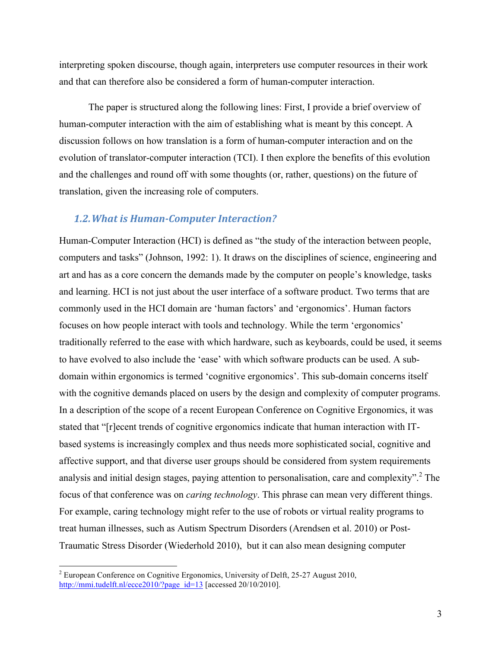interpreting spoken discourse, though again, interpreters use computer resources in their work and that can therefore also be considered a form of human-computer interaction.

The paper is structured along the following lines: First, I provide a brief overview of human-computer interaction with the aim of establishing what is meant by this concept. A discussion follows on how translation is a form of human-computer interaction and on the evolution of translator-computer interaction (TCI). I then explore the benefits of this evolution and the challenges and round off with some thoughts (or, rather, questions) on the future of translation, given the increasing role of computers.

#### **1.2. What is Human-Computer Interaction?**

Human-Computer Interaction (HCI) is defined as "the study of the interaction between people, computers and tasks" (Johnson, 1992: 1). It draws on the disciplines of science, engineering and art and has as a core concern the demands made by the computer on people's knowledge, tasks and learning. HCI is not just about the user interface of a software product. Two terms that are commonly used in the HCI domain are 'human factors' and 'ergonomics'. Human factors focuses on how people interact with tools and technology. While the term 'ergonomics' traditionally referred to the ease with which hardware, such as keyboards, could be used, it seems to have evolved to also include the 'ease' with which software products can be used. A subdomain within ergonomics is termed 'cognitive ergonomics'. This sub-domain concerns itself with the cognitive demands placed on users by the design and complexity of computer programs. In a description of the scope of a recent European Conference on Cognitive Ergonomics, it was stated that "[r]ecent trends of cognitive ergonomics indicate that human interaction with ITbased systems is increasingly complex and thus needs more sophisticated social, cognitive and affective support, and that diverse user groups should be considered from system requirements analysis and initial design stages, paying attention to personalisation, care and complexity".<sup>2</sup> The focus of that conference was on *caring technology*. This phrase can mean very different things. For example, caring technology might refer to the use of robots or virtual reality programs to treat human illnesses, such as Autism Spectrum Disorders (Arendsen et al. 2010) or Post-Traumatic Stress Disorder (Wiederhold 2010), but it can also mean designing computer

<sup>&</sup>lt;sup>2</sup> European Conference on Cognitive Ergonomics, University of Delft, 25-27 August 2010, http://mmi.tudelft.nl/ecce2010/?page\_id=13 [accessed 20/10/2010].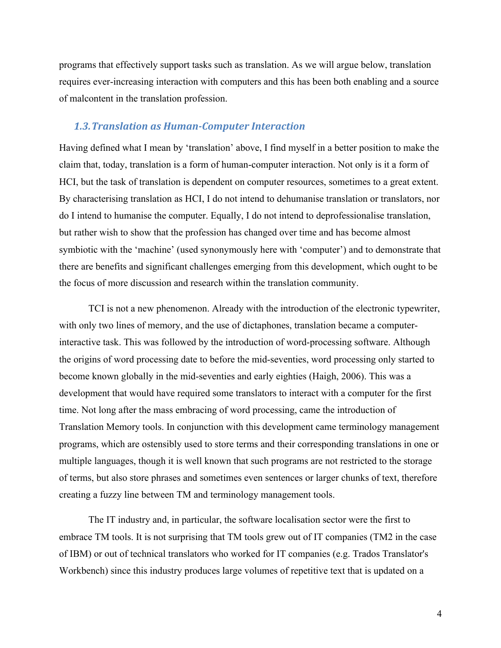programs that effectively support tasks such as translation. As we will argue below, translation requires ever-increasing interaction with computers and this has been both enabling and a source of malcontent in the translation profession.

### *1.3.Translation as Human-Computer Interaction*

Having defined what I mean by 'translation' above, I find myself in a better position to make the claim that, today, translation is a form of human-computer interaction. Not only is it a form of HCI, but the task of translation is dependent on computer resources, sometimes to a great extent. By characterising translation as HCI, I do not intend to dehumanise translation or translators, nor do I intend to humanise the computer. Equally, I do not intend to deprofessionalise translation, but rather wish to show that the profession has changed over time and has become almost symbiotic with the 'machine' (used synonymously here with 'computer') and to demonstrate that there are benefits and significant challenges emerging from this development, which ought to be the focus of more discussion and research within the translation community.

TCI is not a new phenomenon. Already with the introduction of the electronic typewriter, with only two lines of memory, and the use of dictaphones, translation became a computerinteractive task. This was followed by the introduction of word-processing software. Although the origins of word processing date to before the mid-seventies, word processing only started to become known globally in the mid-seventies and early eighties (Haigh, 2006). This was a development that would have required some translators to interact with a computer for the first time. Not long after the mass embracing of word processing, came the introduction of Translation Memory tools. In conjunction with this development came terminology management programs, which are ostensibly used to store terms and their corresponding translations in one or multiple languages, though it is well known that such programs are not restricted to the storage of terms, but also store phrases and sometimes even sentences or larger chunks of text, therefore creating a fuzzy line between TM and terminology management tools.

The IT industry and, in particular, the software localisation sector were the first to embrace TM tools. It is not surprising that TM tools grew out of IT companies (TM2 in the case of IBM) or out of technical translators who worked for IT companies (e.g. Trados Translator's Workbench) since this industry produces large volumes of repetitive text that is updated on a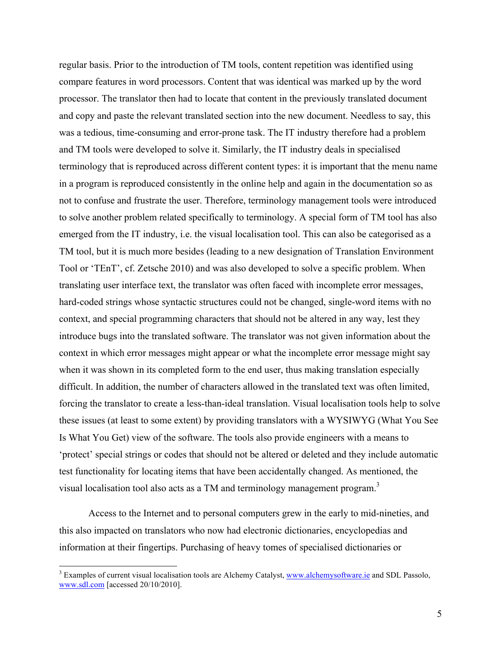regular basis. Prior to the introduction of TM tools, content repetition was identified using compare features in word processors. Content that was identical was marked up by the word processor. The translator then had to locate that content in the previously translated document and copy and paste the relevant translated section into the new document. Needless to say, this was a tedious, time-consuming and error-prone task. The IT industry therefore had a problem and TM tools were developed to solve it. Similarly, the IT industry deals in specialised terminology that is reproduced across different content types: it is important that the menu name in a program is reproduced consistently in the online help and again in the documentation so as not to confuse and frustrate the user. Therefore, terminology management tools were introduced to solve another problem related specifically to terminology. A special form of TM tool has also emerged from the IT industry, i.e. the visual localisation tool. This can also be categorised as a TM tool, but it is much more besides (leading to a new designation of Translation Environment Tool or 'TEnT', cf. Zetsche 2010) and was also developed to solve a specific problem. When translating user interface text, the translator was often faced with incomplete error messages, hard-coded strings whose syntactic structures could not be changed, single-word items with no context, and special programming characters that should not be altered in any way, lest they introduce bugs into the translated software. The translator was not given information about the context in which error messages might appear or what the incomplete error message might say when it was shown in its completed form to the end user, thus making translation especially difficult. In addition, the number of characters allowed in the translated text was often limited, forcing the translator to create a less-than-ideal translation. Visual localisation tools help to solve these issues (at least to some extent) by providing translators with a WYSIWYG (What You See Is What You Get) view of the software. The tools also provide engineers with a means to 'protect' special strings or codes that should not be altered or deleted and they include automatic test functionality for locating items that have been accidentally changed. As mentioned, the visual localisation tool also acts as a TM and terminology management program.<sup>3</sup>

Access to the Internet and to personal computers grew in the early to mid-nineties, and this also impacted on translators who now had electronic dictionaries, encyclopedias and information at their fingertips. Purchasing of heavy tomes of specialised dictionaries or

<sup>&</sup>lt;sup>3</sup> Examples of current visual localisation tools are Alchemy Catalyst, www.alchemysoftware.ie and SDL Passolo, www.sdl.com [accessed 20/10/2010].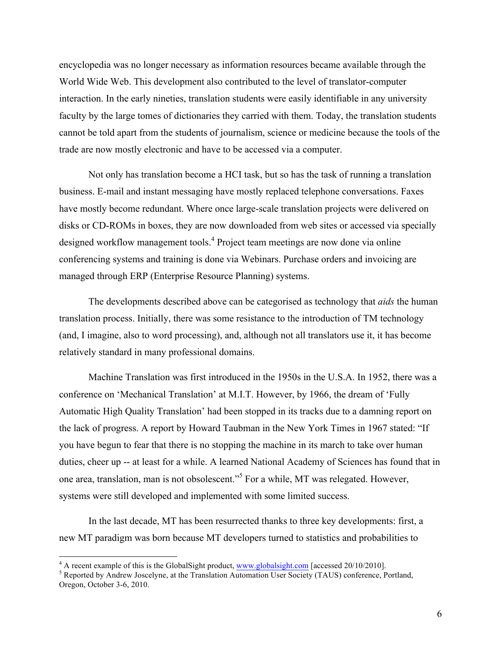encyclopedia was no longer necessary as information resources became available through the World Wide Web. This development also contributed to the level of translator-computer interaction. In the early nineties, translation students were easily identifiable in any university faculty by the large tomes of dictionaries they carried with them. Today, the translation students cannot be told apart from the students of journalism, science or medicine because the tools of the trade are now mostly electronic and have to be accessed via a computer.

Not only has translation become a HCI task, but so has the task of running a translation business. E-mail and instant messaging have mostly replaced telephone conversations. Faxes have mostly become redundant. Where once large-scale translation projects were delivered on disks or CD-ROMs in boxes, they are now downloaded from web sites or accessed via specially designed workflow management tools.<sup>4</sup> Project team meetings are now done via online conferencing systems and training is done via Webinars. Purchase orders and invoicing are managed through ERP (Enterprise Resource Planning) systems.

The developments described above can be categorised as technology that *aids* the human translation process. Initially, there was some resistance to the introduction of TM technology (and, I imagine, also to word processing), and, although not all translators use it, it has become relatively standard in many professional domains.

Machine Translation was first introduced in the 1950s in the U.S.A. In 1952, there was a conference on 'Mechanical Translation' at M.I.T. However, by 1966, the dream of 'Fully Automatic High Quality Translation' had been stopped in its tracks due to a damning report on the lack of progress. A report by Howard Taubman in the New York Times in 1967 stated: "If you have begun to fear that there is no stopping the machine in its march to take over human duties, cheer up -- at least for a while. A learned National Academy of Sciences has found that in one area, translation, man is not obsolescent."<sup>5</sup> For a while, MT was relegated. However, systems were still developed and implemented with some limited success.

In the last decade, MT has been resurrected thanks to three key developments: first, a new MT paradigm was born because MT developers turned to statistics and probabilities to

<sup>&</sup>lt;sup>4</sup> A recent example of this is the GlobalSight product, www.globalsight.com [accessed 20/10/2010].<br><sup>5</sup> Reported by Andrew Joscelyne, at the Translation Automation User Society (TAUS) conference, Portland, Oregon, October 3-6, 2010.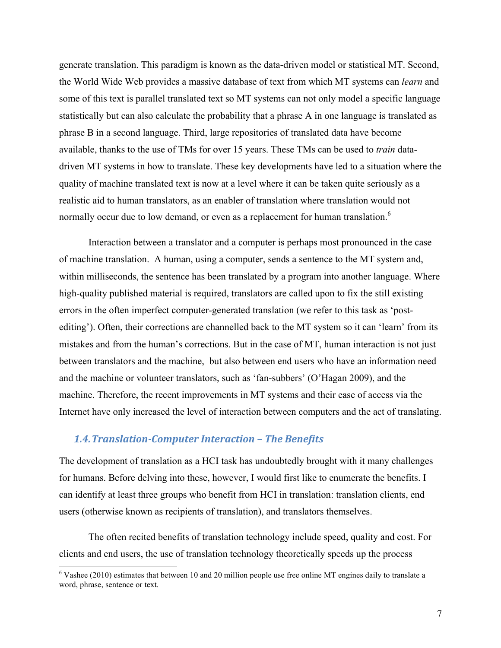generate translation. This paradigm is known as the data-driven model or statistical MT. Second, the World Wide Web provides a massive database of text from which MT systems can *learn* and some of this text is parallel translated text so MT systems can not only model a specific language statistically but can also calculate the probability that a phrase A in one language is translated as phrase B in a second language. Third, large repositories of translated data have become available, thanks to the use of TMs for over 15 years. These TMs can be used to *train* datadriven MT systems in how to translate. These key developments have led to a situation where the quality of machine translated text is now at a level where it can be taken quite seriously as a realistic aid to human translators, as an enabler of translation where translation would not normally occur due to low demand, or even as a replacement for human translation.<sup>6</sup>

Interaction between a translator and a computer is perhaps most pronounced in the case of machine translation. A human, using a computer, sends a sentence to the MT system and, within milliseconds, the sentence has been translated by a program into another language. Where high-quality published material is required, translators are called upon to fix the still existing errors in the often imperfect computer-generated translation (we refer to this task as 'postediting'). Often, their corrections are channelled back to the MT system so it can 'learn' from its mistakes and from the human's corrections. But in the case of MT, human interaction is not just between translators and the machine, but also between end users who have an information need and the machine or volunteer translators, such as 'fan-subbers' (O'Hagan 2009), and the machine. Therefore, the recent improvements in MT systems and their ease of access via the Internet have only increased the level of interaction between computers and the act of translating.

#### *1.4.Translation-Computer Interaction – The Benefits*

The development of translation as a HCI task has undoubtedly brought with it many challenges for humans. Before delving into these, however, I would first like to enumerate the benefits. I can identify at least three groups who benefit from HCI in translation: translation clients, end users (otherwise known as recipients of translation), and translators themselves.

The often recited benefits of translation technology include speed, quality and cost. For clients and end users, the use of translation technology theoretically speeds up the process

 $6$  Vashee (2010) estimates that between 10 and 20 million people use free online MT engines daily to translate a word, phrase, sentence or text.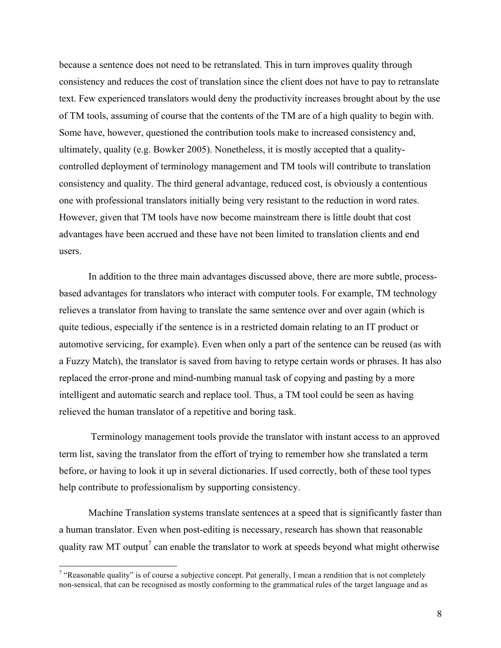because a sentence does not need to be retranslated. This in turn improves quality through consistency and reduces the cost of translation since the client does not have to pay to retranslate text. Few experienced translators would deny the productivity increases brought about by the use of TM tools, assuming of course that the contents of the TM are of a high quality to begin with. Some have, however, questioned the contribution tools make to increased consistency and, ultimately, quality (e.g. Bowker 2005). Nonetheless, it is mostly accepted that a qualitycontrolled deployment of terminology management and TM tools will contribute to translation consistency and quality. The third general advantage, reduced cost, is obviously a contentious one with professional translators initially being very resistant to the reduction in word rates. However, given that TM tools have now become mainstream there is little doubt that cost advantages have been accrued and these have not been limited to translation clients and end users.

In addition to the three main advantages discussed above, there are more subtle, processbased advantages for translators who interact with computer tools. For example, TM technology relieves a translator from having to translate the same sentence over and over again (which is quite tedious, especially if the sentence is in a restricted domain relating to an IT product or automotive servicing, for example). Even when only a part of the sentence can be reused (as with a Fuzzy Match), the translator is saved from having to retype certain words or phrases. It has also replaced the error-prone and mind-numbing manual task of copying and pasting by a more intelligent and automatic search and replace tool. Thus, a TM tool could be seen as having relieved the human translator of a repetitive and boring task.

Terminology management tools provide the translator with instant access to an approved term list, saving the translator from the effort of trying to remember how she translated a term before, or having to look it up in several dictionaries. If used correctly, both of these tool types help contribute to professionalism by supporting consistency.

Machine Translation systems translate sentences at a speed that is significantly faster than a human translator. Even when post-editing is necessary, research has shown that reasonable quality raw MT output<sup>7</sup> can enable the translator to work at speeds beyond what might otherwise

<sup>&</sup>lt;sup>7</sup> "Reasonable quality" is of course a subjective concept. Put generally, I mean a rendition that is not completely non-sensical, that can be recognised as mostly conforming to the grammatical rules of the target language and as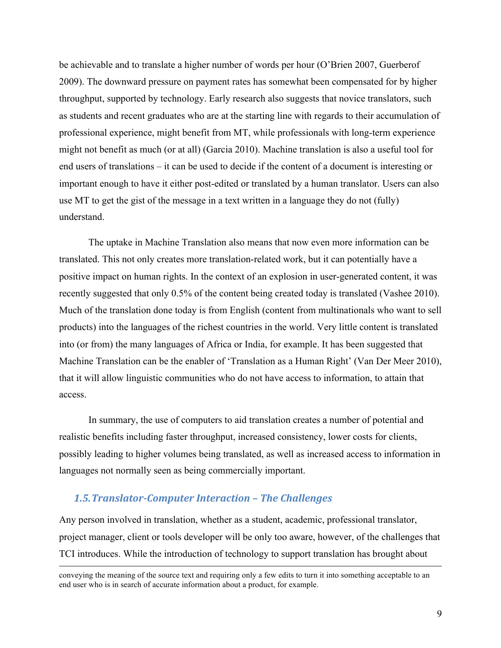be achievable and to translate a higher number of words per hour (O'Brien 2007, Guerberof 2009). The downward pressure on payment rates has somewhat been compensated for by higher throughput, supported by technology. Early research also suggests that novice translators, such as students and recent graduates who are at the starting line with regards to their accumulation of professional experience, might benefit from MT, while professionals with long-term experience might not benefit as much (or at all) (Garcia 2010). Machine translation is also a useful tool for end users of translations – it can be used to decide if the content of a document is interesting or important enough to have it either post-edited or translated by a human translator. Users can also use MT to get the gist of the message in a text written in a language they do not (fully) understand.

The uptake in Machine Translation also means that now even more information can be translated. This not only creates more translation-related work, but it can potentially have a positive impact on human rights. In the context of an explosion in user-generated content, it was recently suggested that only 0.5% of the content being created today is translated (Vashee 2010). Much of the translation done today is from English (content from multinationals who want to sell products) into the languages of the richest countries in the world. Very little content is translated into (or from) the many languages of Africa or India, for example. It has been suggested that Machine Translation can be the enabler of 'Translation as a Human Right' (Van Der Meer 2010), that it will allow linguistic communities who do not have access to information, to attain that access.

In summary, the use of computers to aid translation creates a number of potential and realistic benefits including faster throughput, increased consistency, lower costs for clients, possibly leading to higher volumes being translated, as well as increased access to information in languages not normally seen as being commercially important.

## 1.5. Translator-Computer Interaction - The Challenges

Any person involved in translation, whether as a student, academic, professional translator, project manager, client or tools developer will be only too aware, however, of the challenges that TCI introduces. While the introduction of technology to support translation has brought about

 conveying the meaning of the source text and requiring only a few edits to turn it into something acceptable to an end user who is in search of accurate information about a product, for example.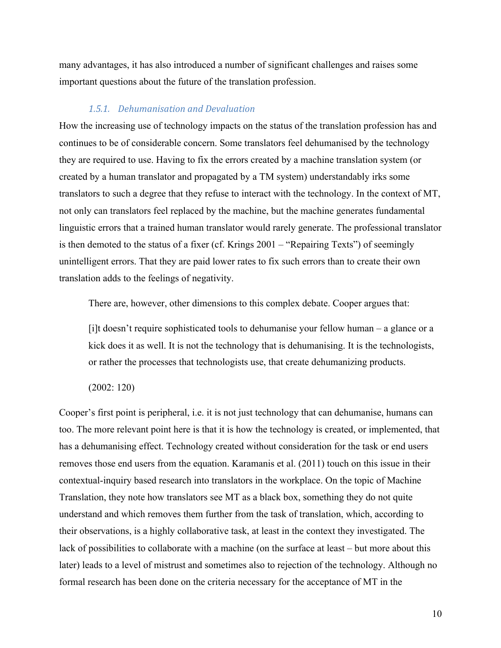many advantages, it has also introduced a number of significant challenges and raises some important questions about the future of the translation profession.

### *1.5.1. Dehumanisation and Devaluation*

How the increasing use of technology impacts on the status of the translation profession has and continues to be of considerable concern. Some translators feel dehumanised by the technology they are required to use. Having to fix the errors created by a machine translation system (or created by a human translator and propagated by a TM system) understandably irks some translators to such a degree that they refuse to interact with the technology. In the context of MT, not only can translators feel replaced by the machine, but the machine generates fundamental linguistic errors that a trained human translator would rarely generate. The professional translator is then demoted to the status of a fixer (cf. Krings 2001 – "Repairing Texts") of seemingly unintelligent errors. That they are paid lower rates to fix such errors than to create their own translation adds to the feelings of negativity.

There are, however, other dimensions to this complex debate. Cooper argues that:

[i]t doesn't require sophisticated tools to dehumanise your fellow human – a glance or a kick does it as well. It is not the technology that is dehumanising. It is the technologists, or rather the processes that technologists use, that create dehumanizing products.

(2002: 120)

Cooper's first point is peripheral, i.e. it is not just technology that can dehumanise, humans can too. The more relevant point here is that it is how the technology is created, or implemented, that has a dehumanising effect. Technology created without consideration for the task or end users removes those end users from the equation. Karamanis et al. (2011) touch on this issue in their contextual-inquiry based research into translators in the workplace. On the topic of Machine Translation, they note how translators see MT as a black box, something they do not quite understand and which removes them further from the task of translation, which, according to their observations, is a highly collaborative task, at least in the context they investigated. The lack of possibilities to collaborate with a machine (on the surface at least – but more about this later) leads to a level of mistrust and sometimes also to rejection of the technology. Although no formal research has been done on the criteria necessary for the acceptance of MT in the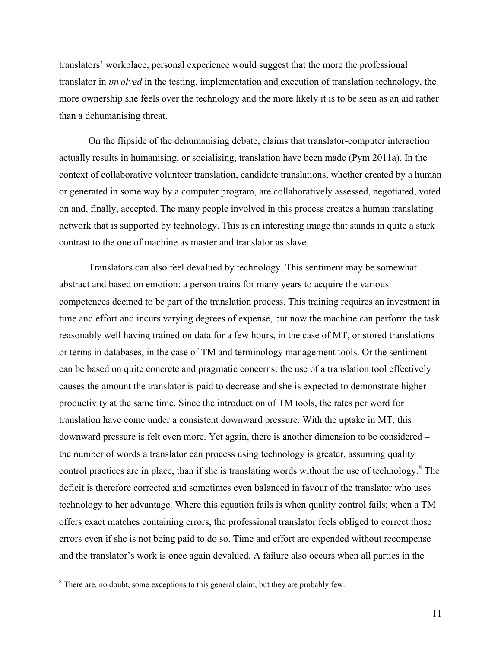translators' workplace, personal experience would suggest that the more the professional translator in *involved* in the testing, implementation and execution of translation technology, the more ownership she feels over the technology and the more likely it is to be seen as an aid rather than a dehumanising threat.

On the flipside of the dehumanising debate, claims that translator-computer interaction actually results in humanising, or socialising, translation have been made (Pym 2011a). In the context of collaborative volunteer translation, candidate translations, whether created by a human or generated in some way by a computer program, are collaboratively assessed, negotiated, voted on and, finally, accepted. The many people involved in this process creates a human translating network that is supported by technology. This is an interesting image that stands in quite a stark contrast to the one of machine as master and translator as slave.

Translators can also feel devalued by technology. This sentiment may be somewhat abstract and based on emotion: a person trains for many years to acquire the various competences deemed to be part of the translation process. This training requires an investment in time and effort and incurs varying degrees of expense, but now the machine can perform the task reasonably well having trained on data for a few hours, in the case of MT, or stored translations or terms in databases, in the case of TM and terminology management tools. Or the sentiment can be based on quite concrete and pragmatic concerns: the use of a translation tool effectively causes the amount the translator is paid to decrease and she is expected to demonstrate higher productivity at the same time. Since the introduction of TM tools, the rates per word for translation have come under a consistent downward pressure. With the uptake in MT, this downward pressure is felt even more. Yet again, there is another dimension to be considered – the number of words a translator can process using technology is greater, assuming quality control practices are in place, than if she is translating words without the use of technology.<sup>8</sup> The deficit is therefore corrected and sometimes even balanced in favour of the translator who uses technology to her advantage. Where this equation fails is when quality control fails; when a TM offers exact matches containing errors, the professional translator feels obliged to correct those errors even if she is not being paid to do so. Time and effort are expended without recompense and the translator's work is once again devalued. A failure also occurs when all parties in the

<sup>&</sup>lt;sup>8</sup> There are, no doubt, some exceptions to this general claim, but they are probably few.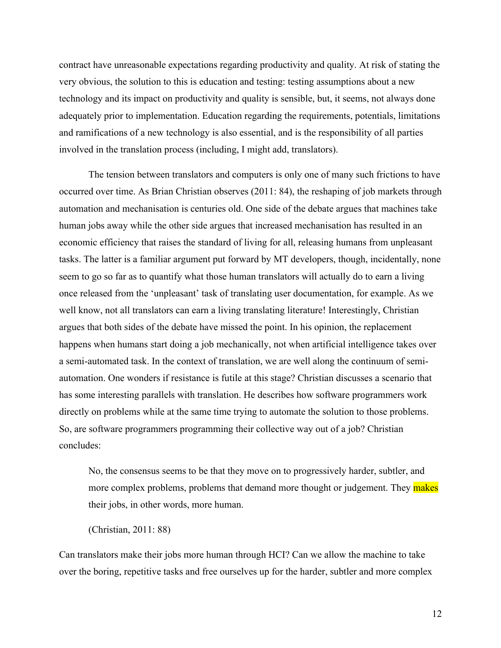contract have unreasonable expectations regarding productivity and quality. At risk of stating the very obvious, the solution to this is education and testing: testing assumptions about a new technology and its impact on productivity and quality is sensible, but, it seems, not always done adequately prior to implementation. Education regarding the requirements, potentials, limitations and ramifications of a new technology is also essential, and is the responsibility of all parties involved in the translation process (including, I might add, translators).

The tension between translators and computers is only one of many such frictions to have occurred over time. As Brian Christian observes (2011: 84), the reshaping of job markets through automation and mechanisation is centuries old. One side of the debate argues that machines take human jobs away while the other side argues that increased mechanisation has resulted in an economic efficiency that raises the standard of living for all, releasing humans from unpleasant tasks. The latter is a familiar argument put forward by MT developers, though, incidentally, none seem to go so far as to quantify what those human translators will actually do to earn a living once released from the 'unpleasant' task of translating user documentation, for example. As we well know, not all translators can earn a living translating literature! Interestingly, Christian argues that both sides of the debate have missed the point. In his opinion, the replacement happens when humans start doing a job mechanically, not when artificial intelligence takes over a semi-automated task. In the context of translation, we are well along the continuum of semiautomation. One wonders if resistance is futile at this stage? Christian discusses a scenario that has some interesting parallels with translation. He describes how software programmers work directly on problems while at the same time trying to automate the solution to those problems. So, are software programmers programming their collective way out of a job? Christian concludes:

No, the consensus seems to be that they move on to progressively harder, subtler, and more complex problems, problems that demand more thought or judgement. They makes their jobs, in other words, more human.

(Christian, 2011: 88)

Can translators make their jobs more human through HCI? Can we allow the machine to take over the boring, repetitive tasks and free ourselves up for the harder, subtler and more complex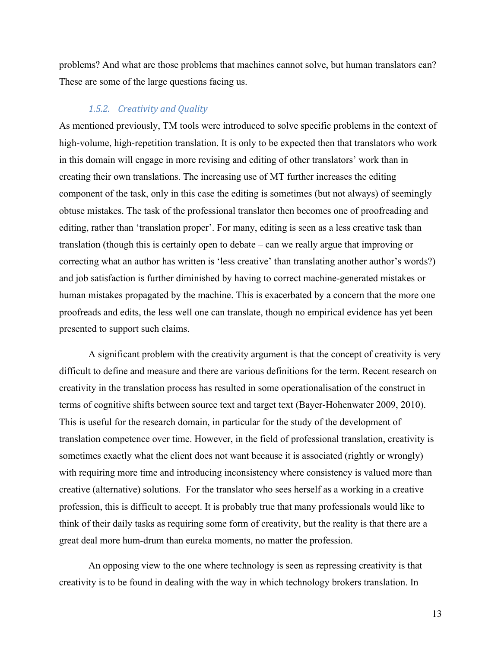problems? And what are those problems that machines cannot solve, but human translators can? These are some of the large questions facing us.

## *1.5.2. Creativity and Quality*

As mentioned previously, TM tools were introduced to solve specific problems in the context of high-volume, high-repetition translation. It is only to be expected then that translators who work in this domain will engage in more revising and editing of other translators' work than in creating their own translations. The increasing use of MT further increases the editing component of the task, only in this case the editing is sometimes (but not always) of seemingly obtuse mistakes. The task of the professional translator then becomes one of proofreading and editing, rather than 'translation proper'. For many, editing is seen as a less creative task than translation (though this is certainly open to debate – can we really argue that improving or correcting what an author has written is 'less creative' than translating another author's words?) and job satisfaction is further diminished by having to correct machine-generated mistakes or human mistakes propagated by the machine. This is exacerbated by a concern that the more one proofreads and edits, the less well one can translate, though no empirical evidence has yet been presented to support such claims.

A significant problem with the creativity argument is that the concept of creativity is very difficult to define and measure and there are various definitions for the term. Recent research on creativity in the translation process has resulted in some operationalisation of the construct in terms of cognitive shifts between source text and target text (Bayer-Hohenwater 2009, 2010). This is useful for the research domain, in particular for the study of the development of translation competence over time. However, in the field of professional translation, creativity is sometimes exactly what the client does not want because it is associated (rightly or wrongly) with requiring more time and introducing inconsistency where consistency is valued more than creative (alternative) solutions. For the translator who sees herself as a working in a creative profession, this is difficult to accept. It is probably true that many professionals would like to think of their daily tasks as requiring some form of creativity, but the reality is that there are a great deal more hum-drum than eureka moments, no matter the profession.

An opposing view to the one where technology is seen as repressing creativity is that creativity is to be found in dealing with the way in which technology brokers translation. In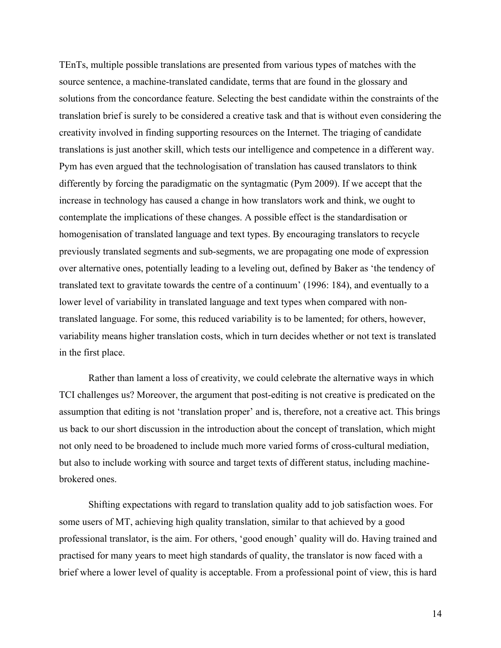TEnTs, multiple possible translations are presented from various types of matches with the source sentence, a machine-translated candidate, terms that are found in the glossary and solutions from the concordance feature. Selecting the best candidate within the constraints of the translation brief is surely to be considered a creative task and that is without even considering the creativity involved in finding supporting resources on the Internet. The triaging of candidate translations is just another skill, which tests our intelligence and competence in a different way. Pym has even argued that the technologisation of translation has caused translators to think differently by forcing the paradigmatic on the syntagmatic (Pym 2009). If we accept that the increase in technology has caused a change in how translators work and think, we ought to contemplate the implications of these changes. A possible effect is the standardisation or homogenisation of translated language and text types. By encouraging translators to recycle previously translated segments and sub-segments, we are propagating one mode of expression over alternative ones, potentially leading to a leveling out, defined by Baker as 'the tendency of translated text to gravitate towards the centre of a continuum' (1996: 184), and eventually to a lower level of variability in translated language and text types when compared with nontranslated language. For some, this reduced variability is to be lamented; for others, however, variability means higher translation costs, which in turn decides whether or not text is translated in the first place.

Rather than lament a loss of creativity, we could celebrate the alternative ways in which TCI challenges us? Moreover, the argument that post-editing is not creative is predicated on the assumption that editing is not 'translation proper' and is, therefore, not a creative act. This brings us back to our short discussion in the introduction about the concept of translation, which might not only need to be broadened to include much more varied forms of cross-cultural mediation, but also to include working with source and target texts of different status, including machinebrokered ones.

Shifting expectations with regard to translation quality add to job satisfaction woes. For some users of MT, achieving high quality translation, similar to that achieved by a good professional translator, is the aim. For others, 'good enough' quality will do. Having trained and practised for many years to meet high standards of quality, the translator is now faced with a brief where a lower level of quality is acceptable. From a professional point of view, this is hard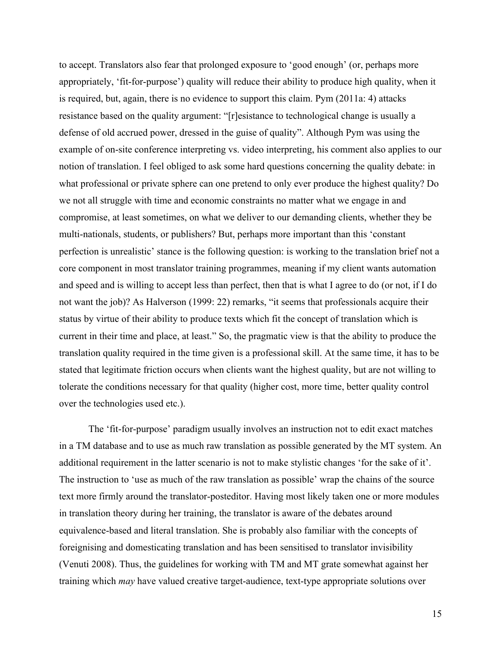to accept. Translators also fear that prolonged exposure to 'good enough' (or, perhaps more appropriately, 'fit-for-purpose') quality will reduce their ability to produce high quality, when it is required, but, again, there is no evidence to support this claim. Pym (2011a: 4) attacks resistance based on the quality argument: "[r]esistance to technological change is usually a defense of old accrued power, dressed in the guise of quality". Although Pym was using the example of on-site conference interpreting vs. video interpreting, his comment also applies to our notion of translation. I feel obliged to ask some hard questions concerning the quality debate: in what professional or private sphere can one pretend to only ever produce the highest quality? Do we not all struggle with time and economic constraints no matter what we engage in and compromise, at least sometimes, on what we deliver to our demanding clients, whether they be multi-nationals, students, or publishers? But, perhaps more important than this 'constant perfection is unrealistic' stance is the following question: is working to the translation brief not a core component in most translator training programmes, meaning if my client wants automation and speed and is willing to accept less than perfect, then that is what I agree to do (or not, if I do not want the job)? As Halverson (1999: 22) remarks, "it seems that professionals acquire their status by virtue of their ability to produce texts which fit the concept of translation which is current in their time and place, at least." So, the pragmatic view is that the ability to produce the translation quality required in the time given is a professional skill. At the same time, it has to be stated that legitimate friction occurs when clients want the highest quality, but are not willing to tolerate the conditions necessary for that quality (higher cost, more time, better quality control over the technologies used etc.).

The 'fit-for-purpose' paradigm usually involves an instruction not to edit exact matches in a TM database and to use as much raw translation as possible generated by the MT system. An additional requirement in the latter scenario is not to make stylistic changes 'for the sake of it'. The instruction to 'use as much of the raw translation as possible' wrap the chains of the source text more firmly around the translator-posteditor. Having most likely taken one or more modules in translation theory during her training, the translator is aware of the debates around equivalence-based and literal translation. She is probably also familiar with the concepts of foreignising and domesticating translation and has been sensitised to translator invisibility (Venuti 2008). Thus, the guidelines for working with TM and MT grate somewhat against her training which *may* have valued creative target-audience, text-type appropriate solutions over

15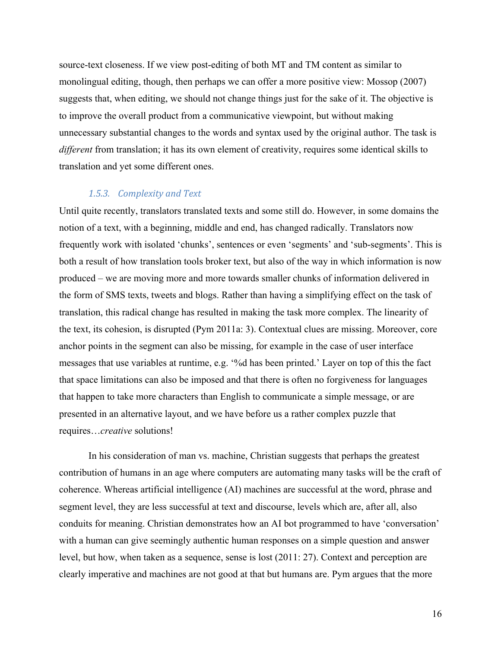source-text closeness. If we view post-editing of both MT and TM content as similar to monolingual editing, though, then perhaps we can offer a more positive view: Mossop (2007) suggests that, when editing, we should not change things just for the sake of it. The objective is to improve the overall product from a communicative viewpoint, but without making unnecessary substantial changes to the words and syntax used by the original author. The task is *different* from translation; it has its own element of creativity, requires some identical skills to translation and yet some different ones.

## 1.5.3. Complexity and Text

Until quite recently, translators translated texts and some still do. However, in some domains the notion of a text, with a beginning, middle and end, has changed radically. Translators now frequently work with isolated 'chunks', sentences or even 'segments' and 'sub-segments'. This is both a result of how translation tools broker text, but also of the way in which information is now produced – we are moving more and more towards smaller chunks of information delivered in the form of SMS texts, tweets and blogs. Rather than having a simplifying effect on the task of translation, this radical change has resulted in making the task more complex. The linearity of the text, its cohesion, is disrupted (Pym 2011a: 3). Contextual clues are missing. Moreover, core anchor points in the segment can also be missing, for example in the case of user interface messages that use variables at runtime, e.g. '%d has been printed.' Layer on top of this the fact that space limitations can also be imposed and that there is often no forgiveness for languages that happen to take more characters than English to communicate a simple message, or are presented in an alternative layout, and we have before us a rather complex puzzle that requires…*creative* solutions!

In his consideration of man vs. machine, Christian suggests that perhaps the greatest contribution of humans in an age where computers are automating many tasks will be the craft of coherence. Whereas artificial intelligence (AI) machines are successful at the word, phrase and segment level, they are less successful at text and discourse, levels which are, after all, also conduits for meaning. Christian demonstrates how an AI bot programmed to have 'conversation' with a human can give seemingly authentic human responses on a simple question and answer level, but how, when taken as a sequence, sense is lost (2011: 27). Context and perception are clearly imperative and machines are not good at that but humans are. Pym argues that the more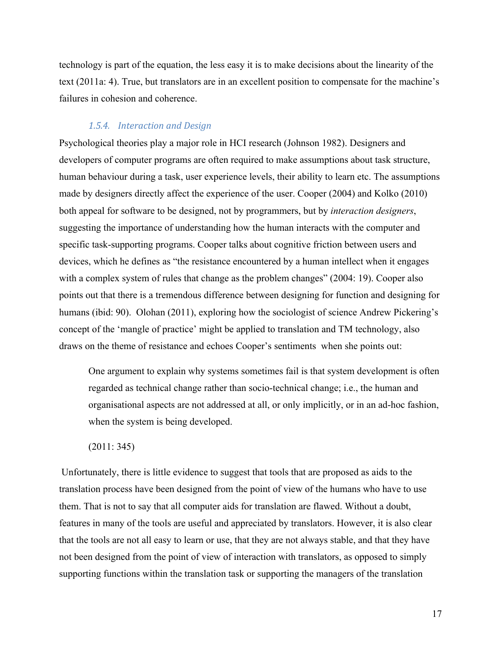technology is part of the equation, the less easy it is to make decisions about the linearity of the text (2011a: 4). True, but translators are in an excellent position to compensate for the machine's failures in cohesion and coherence.

### 1.5.4. Interaction and Design

Psychological theories play a major role in HCI research (Johnson 1982). Designers and developers of computer programs are often required to make assumptions about task structure, human behaviour during a task, user experience levels, their ability to learn etc. The assumptions made by designers directly affect the experience of the user. Cooper (2004) and Kolko (2010) both appeal for software to be designed, not by programmers, but by *interaction designers*, suggesting the importance of understanding how the human interacts with the computer and specific task-supporting programs. Cooper talks about cognitive friction between users and devices, which he defines as "the resistance encountered by a human intellect when it engages with a complex system of rules that change as the problem changes" (2004: 19). Cooper also points out that there is a tremendous difference between designing for function and designing for humans (ibid: 90). Olohan (2011), exploring how the sociologist of science Andrew Pickering's concept of the 'mangle of practice' might be applied to translation and TM technology, also draws on the theme of resistance and echoes Cooper's sentiments when she points out:

One argument to explain why systems sometimes fail is that system development is often regarded as technical change rather than socio-technical change; i.e., the human and organisational aspects are not addressed at all, or only implicitly, or in an ad-hoc fashion, when the system is being developed.

(2011: 345)

Unfortunately, there is little evidence to suggest that tools that are proposed as aids to the translation process have been designed from the point of view of the humans who have to use them. That is not to say that all computer aids for translation are flawed. Without a doubt, features in many of the tools are useful and appreciated by translators. However, it is also clear that the tools are not all easy to learn or use, that they are not always stable, and that they have not been designed from the point of view of interaction with translators, as opposed to simply supporting functions within the translation task or supporting the managers of the translation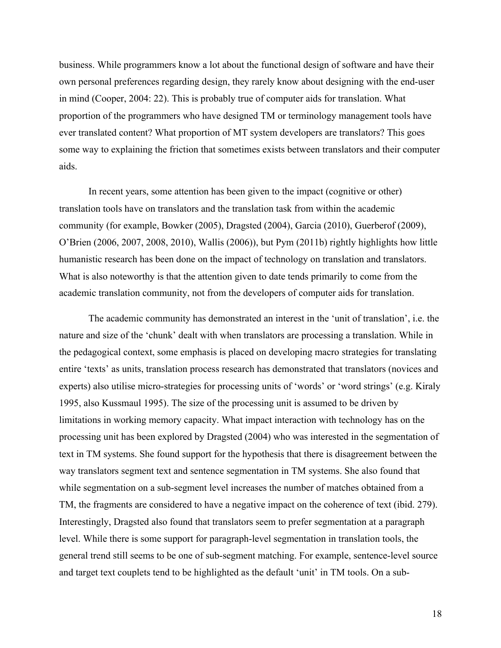business. While programmers know a lot about the functional design of software and have their own personal preferences regarding design, they rarely know about designing with the end-user in mind (Cooper, 2004: 22). This is probably true of computer aids for translation. What proportion of the programmers who have designed TM or terminology management tools have ever translated content? What proportion of MT system developers are translators? This goes some way to explaining the friction that sometimes exists between translators and their computer aids.

In recent years, some attention has been given to the impact (cognitive or other) translation tools have on translators and the translation task from within the academic community (for example, Bowker (2005), Dragsted (2004), Garcia (2010), Guerberof (2009), O'Brien (2006, 2007, 2008, 2010), Wallis (2006)), but Pym (2011b) rightly highlights how little humanistic research has been done on the impact of technology on translation and translators. What is also noteworthy is that the attention given to date tends primarily to come from the academic translation community, not from the developers of computer aids for translation.

The academic community has demonstrated an interest in the 'unit of translation', i.e. the nature and size of the 'chunk' dealt with when translators are processing a translation. While in the pedagogical context, some emphasis is placed on developing macro strategies for translating entire 'texts' as units, translation process research has demonstrated that translators (novices and experts) also utilise micro-strategies for processing units of 'words' or 'word strings' (e.g. Kiraly 1995, also Kussmaul 1995). The size of the processing unit is assumed to be driven by limitations in working memory capacity. What impact interaction with technology has on the processing unit has been explored by Dragsted (2004) who was interested in the segmentation of text in TM systems. She found support for the hypothesis that there is disagreement between the way translators segment text and sentence segmentation in TM systems. She also found that while segmentation on a sub-segment level increases the number of matches obtained from a TM, the fragments are considered to have a negative impact on the coherence of text (ibid. 279). Interestingly, Dragsted also found that translators seem to prefer segmentation at a paragraph level. While there is some support for paragraph-level segmentation in translation tools, the general trend still seems to be one of sub-segment matching. For example, sentence-level source and target text couplets tend to be highlighted as the default 'unit' in TM tools. On a sub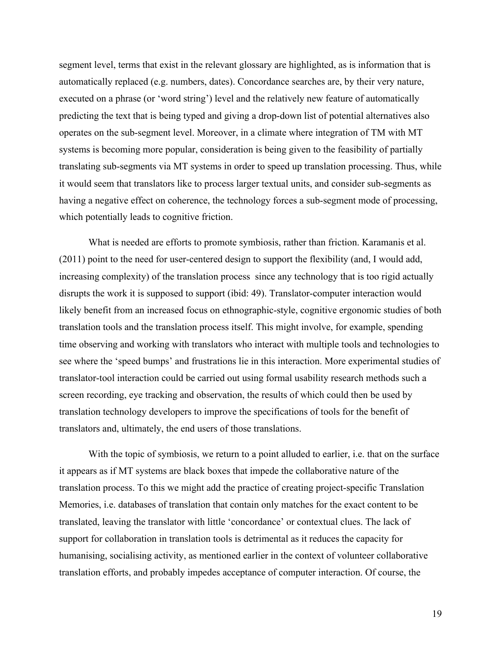segment level, terms that exist in the relevant glossary are highlighted, as is information that is automatically replaced (e.g. numbers, dates). Concordance searches are, by their very nature, executed on a phrase (or 'word string') level and the relatively new feature of automatically predicting the text that is being typed and giving a drop-down list of potential alternatives also operates on the sub-segment level. Moreover, in a climate where integration of TM with MT systems is becoming more popular, consideration is being given to the feasibility of partially translating sub-segments via MT systems in order to speed up translation processing. Thus, while it would seem that translators like to process larger textual units, and consider sub-segments as having a negative effect on coherence, the technology forces a sub-segment mode of processing, which potentially leads to cognitive friction.

What is needed are efforts to promote symbiosis, rather than friction. Karamanis et al. (2011) point to the need for user-centered design to support the flexibility (and, I would add, increasing complexity) of the translation process since any technology that is too rigid actually disrupts the work it is supposed to support (ibid: 49). Translator-computer interaction would likely benefit from an increased focus on ethnographic-style, cognitive ergonomic studies of both translation tools and the translation process itself. This might involve, for example, spending time observing and working with translators who interact with multiple tools and technologies to see where the 'speed bumps' and frustrations lie in this interaction. More experimental studies of translator-tool interaction could be carried out using formal usability research methods such a screen recording, eye tracking and observation, the results of which could then be used by translation technology developers to improve the specifications of tools for the benefit of translators and, ultimately, the end users of those translations.

With the topic of symbiosis, we return to a point alluded to earlier, *i.e.* that on the surface it appears as if MT systems are black boxes that impede the collaborative nature of the translation process. To this we might add the practice of creating project-specific Translation Memories, i.e. databases of translation that contain only matches for the exact content to be translated, leaving the translator with little 'concordance' or contextual clues. The lack of support for collaboration in translation tools is detrimental as it reduces the capacity for humanising, socialising activity, as mentioned earlier in the context of volunteer collaborative translation efforts, and probably impedes acceptance of computer interaction. Of course, the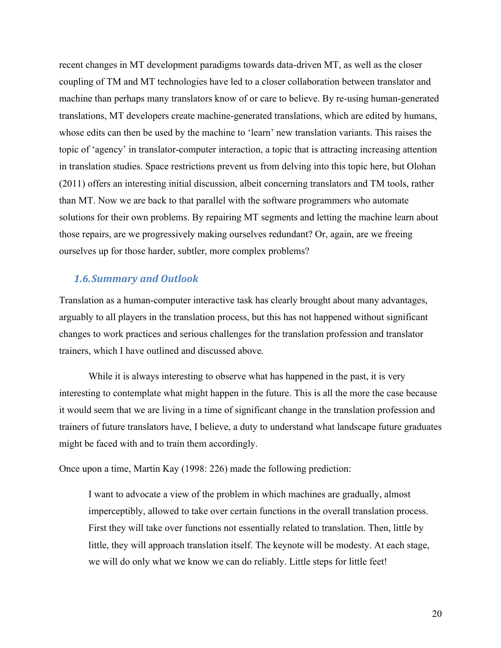recent changes in MT development paradigms towards data-driven MT, as well as the closer coupling of TM and MT technologies have led to a closer collaboration between translator and machine than perhaps many translators know of or care to believe. By re-using human-generated translations, MT developers create machine-generated translations, which are edited by humans, whose edits can then be used by the machine to 'learn' new translation variants. This raises the topic of 'agency' in translator-computer interaction, a topic that is attracting increasing attention in translation studies. Space restrictions prevent us from delving into this topic here, but Olohan (2011) offers an interesting initial discussion, albeit concerning translators and TM tools, rather than MT. Now we are back to that parallel with the software programmers who automate solutions for their own problems. By repairing MT segments and letting the machine learn about those repairs, are we progressively making ourselves redundant? Or, again, are we freeing ourselves up for those harder, subtler, more complex problems?

## *1.6.Summary and Outlook*

Translation as a human-computer interactive task has clearly brought about many advantages, arguably to all players in the translation process, but this has not happened without significant changes to work practices and serious challenges for the translation profession and translator trainers, which I have outlined and discussed above.

While it is always interesting to observe what has happened in the past, it is very interesting to contemplate what might happen in the future. This is all the more the case because it would seem that we are living in a time of significant change in the translation profession and trainers of future translators have, I believe, a duty to understand what landscape future graduates might be faced with and to train them accordingly.

Once upon a time, Martin Kay (1998: 226) made the following prediction:

I want to advocate a view of the problem in which machines are gradually, almost imperceptibly, allowed to take over certain functions in the overall translation process. First they will take over functions not essentially related to translation. Then, little by little, they will approach translation itself. The keynote will be modesty. At each stage, we will do only what we know we can do reliably. Little steps for little feet!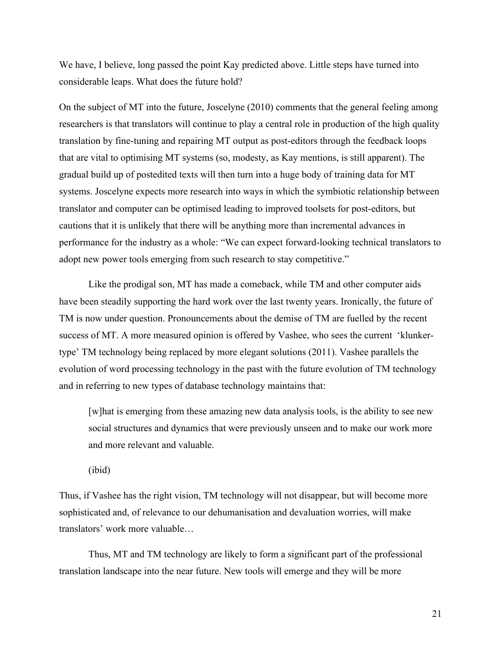We have, I believe, long passed the point Kay predicted above. Little steps have turned into considerable leaps. What does the future hold?

On the subject of MT into the future, Joscelyne (2010) comments that the general feeling among researchers is that translators will continue to play a central role in production of the high quality translation by fine-tuning and repairing MT output as post-editors through the feedback loops that are vital to optimising MT systems (so, modesty, as Kay mentions, is still apparent). The gradual build up of postedited texts will then turn into a huge body of training data for MT systems. Joscelyne expects more research into ways in which the symbiotic relationship between translator and computer can be optimised leading to improved toolsets for post-editors, but cautions that it is unlikely that there will be anything more than incremental advances in performance for the industry as a whole: "We can expect forward-looking technical translators to adopt new power tools emerging from such research to stay competitive."

Like the prodigal son, MT has made a comeback, while TM and other computer aids have been steadily supporting the hard work over the last twenty years. Ironically, the future of TM is now under question. Pronouncements about the demise of TM are fuelled by the recent success of MT. A more measured opinion is offered by Vashee, who sees the current 'klunkertype' TM technology being replaced by more elegant solutions (2011). Vashee parallels the evolution of word processing technology in the past with the future evolution of TM technology and in referring to new types of database technology maintains that:

[w]hat is emerging from these amazing new data analysis tools, is the ability to see new social structures and dynamics that were previously unseen and to make our work more and more relevant and valuable.

(ibid)

Thus, if Vashee has the right vision, TM technology will not disappear, but will become more sophisticated and, of relevance to our dehumanisation and devaluation worries, will make translators' work more valuable…

Thus, MT and TM technology are likely to form a significant part of the professional translation landscape into the near future. New tools will emerge and they will be more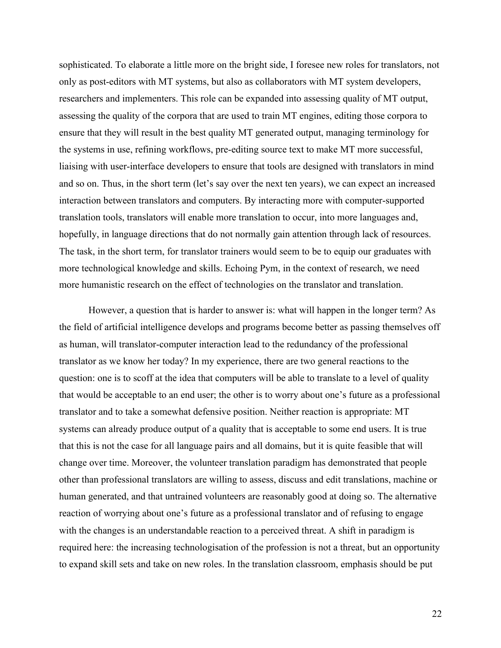sophisticated. To elaborate a little more on the bright side, I foresee new roles for translators, not only as post-editors with MT systems, but also as collaborators with MT system developers, researchers and implementers. This role can be expanded into assessing quality of MT output, assessing the quality of the corpora that are used to train MT engines, editing those corpora to ensure that they will result in the best quality MT generated output, managing terminology for the systems in use, refining workflows, pre-editing source text to make MT more successful, liaising with user-interface developers to ensure that tools are designed with translators in mind and so on. Thus, in the short term (let's say over the next ten years), we can expect an increased interaction between translators and computers. By interacting more with computer-supported translation tools, translators will enable more translation to occur, into more languages and, hopefully, in language directions that do not normally gain attention through lack of resources. The task, in the short term, for translator trainers would seem to be to equip our graduates with more technological knowledge and skills. Echoing Pym, in the context of research, we need more humanistic research on the effect of technologies on the translator and translation.

However, a question that is harder to answer is: what will happen in the longer term? As the field of artificial intelligence develops and programs become better as passing themselves off as human, will translator-computer interaction lead to the redundancy of the professional translator as we know her today? In my experience, there are two general reactions to the question: one is to scoff at the idea that computers will be able to translate to a level of quality that would be acceptable to an end user; the other is to worry about one's future as a professional translator and to take a somewhat defensive position. Neither reaction is appropriate: MT systems can already produce output of a quality that is acceptable to some end users. It is true that this is not the case for all language pairs and all domains, but it is quite feasible that will change over time. Moreover, the volunteer translation paradigm has demonstrated that people other than professional translators are willing to assess, discuss and edit translations, machine or human generated, and that untrained volunteers are reasonably good at doing so. The alternative reaction of worrying about one's future as a professional translator and of refusing to engage with the changes is an understandable reaction to a perceived threat. A shift in paradigm is required here: the increasing technologisation of the profession is not a threat, but an opportunity to expand skill sets and take on new roles. In the translation classroom, emphasis should be put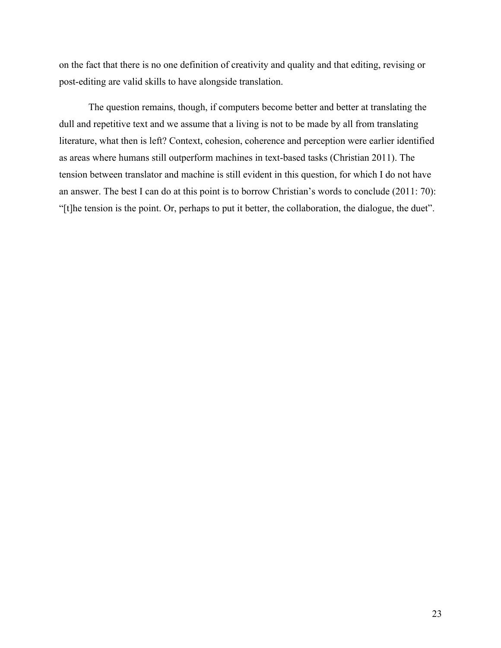on the fact that there is no one definition of creativity and quality and that editing, revising or post-editing are valid skills to have alongside translation.

The question remains, though, if computers become better and better at translating the dull and repetitive text and we assume that a living is not to be made by all from translating literature, what then is left? Context, cohesion, coherence and perception were earlier identified as areas where humans still outperform machines in text-based tasks (Christian 2011). The tension between translator and machine is still evident in this question, for which I do not have an answer. The best I can do at this point is to borrow Christian's words to conclude (2011: 70): "[t]he tension is the point. Or, perhaps to put it better, the collaboration, the dialogue, the duet".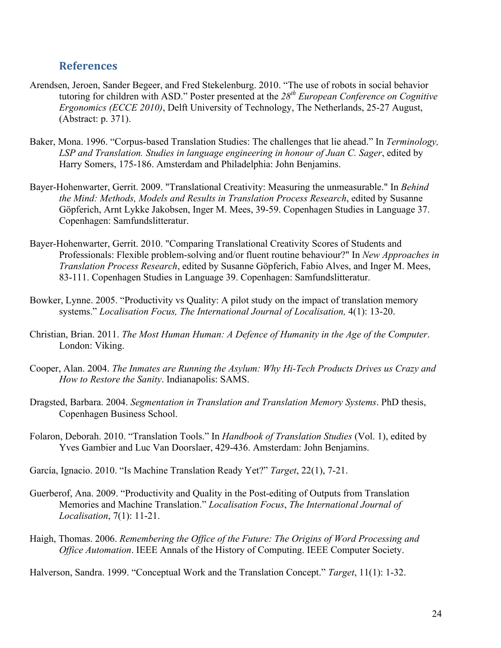## **References**

- Arendsen, Jeroen, Sander Begeer, and Fred Stekelenburg. 2010. "The use of robots in social behavior tutoring for children with ASD." Poster presented at the *28th European Conference on Cognitive Ergonomics (ECCE 2010)*, Delft University of Technology, The Netherlands, 25-27 August, (Abstract: p. 371).
- Baker, Mona. 1996. "Corpus-based Translation Studies: The challenges that lie ahead." In *Terminology, LSP and Translation. Studies in language engineering in honour of Juan C. Sager*, edited by Harry Somers, 175-186. Amsterdam and Philadelphia: John Benjamins.
- Bayer-Hohenwarter, Gerrit. 2009. "Translational Creativity: Measuring the unmeasurable." In *Behind the Mind: Methods, Models and Results in Translation Process Research*, edited by Susanne Göpferich, Arnt Lykke Jakobsen, Inger M. Mees, 39-59. Copenhagen Studies in Language 37. Copenhagen: Samfundslitteratur.
- Bayer-Hohenwarter, Gerrit. 2010. "Comparing Translational Creativity Scores of Students and Professionals: Flexible problem-solving and/or fluent routine behaviour?" In *New Approaches in Translation Process Research*, edited by Susanne Göpferich, Fabio Alves, and Inger M. Mees, 83-111. Copenhagen Studies in Language 39. Copenhagen: Samfundslitteratur.
- Bowker, Lynne. 2005. "Productivity vs Quality: A pilot study on the impact of translation memory systems." *Localisation Focus, The International Journal of Localisation,* 4(1): 13-20.
- Christian, Brian. 2011. *The Most Human Human: A Defence of Humanity in the Age of the Computer*. London: Viking.
- Cooper, Alan. 2004. *The Inmates are Running the Asylum: Why Hi-Tech Products Drives us Crazy and How to Restore the Sanity*. Indianapolis: SAMS.
- Dragsted, Barbara. 2004. *Segmentation in Translation and Translation Memory Systems*. PhD thesis, Copenhagen Business School.
- Folaron, Deborah. 2010. "Translation Tools." In *Handbook of Translation Studies* (Vol. 1), edited by Yves Gambier and Luc Van Doorslaer, 429-436. Amsterdam: John Benjamins.
- García, Ignacio. 2010. "Is Machine Translation Ready Yet?" *Target*, 22(1), 7-21.
- Guerberof, Ana. 2009. "Productivity and Quality in the Post-editing of Outputs from Translation Memories and Machine Translation." *Localisation Focus*, *The International Journal of Localisation*, 7(1): 11-21.
- Haigh, Thomas. 2006. *Remembering the Office of the Future: The Origins of Word Processing and Office Automation*. IEEE Annals of the History of Computing. IEEE Computer Society.

Halverson, Sandra. 1999. "Conceptual Work and the Translation Concept." *Target*, 11(1): 1-32.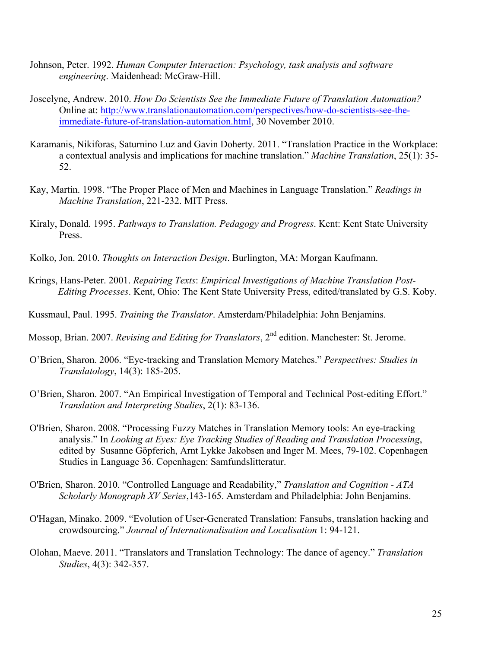- Johnson, Peter. 1992. *Human Computer Interaction: Psychology, task analysis and software engineering*. Maidenhead: McGraw-Hill.
- Joscelyne, Andrew. 2010. *How Do Scientists See the Immediate Future of Translation Automation?* Online at: http://www.translationautomation.com/perspectives/how-do-scientists-see-theimmediate-future-of-translation-automation.html, 30 November 2010.
- Karamanis, Nikiforas, Saturnino Luz and Gavin Doherty. 2011. "Translation Practice in the Workplace: a contextual analysis and implications for machine translation." *Machine Translation*, 25(1): 35- 52.
- Kay, Martin. 1998. "The Proper Place of Men and Machines in Language Translation." *Readings in Machine Translation*, 221-232. MIT Press.
- Kiraly, Donald. 1995. *Pathways to Translation. Pedagogy and Progress*. Kent: Kent State University Press.
- Kolko, Jon. 2010. *Thoughts on Interaction Design*. Burlington, MA: Morgan Kaufmann.
- Krings, Hans-Peter. 2001. *Repairing Texts*: *Empirical Investigations of Machine Translation Post-Editing Processes*. Kent, Ohio: The Kent State University Press, edited/translated by G.S. Koby.
- Kussmaul, Paul. 1995. *Training the Translator*. Amsterdam/Philadelphia: John Benjamins.
- Mossop, Brian. 2007. *Revising and Editing for Translators*, 2nd edition. Manchester: St. Jerome.
- O'Brien, Sharon. 2006. "Eye-tracking and Translation Memory Matches." *Perspectives: Studies in Translatology*, 14(3): 185-205.
- O'Brien, Sharon. 2007. "An Empirical Investigation of Temporal and Technical Post-editing Effort." *Translation and Interpreting Studies*, 2(1): 83-136.
- O'Brien, Sharon. 2008. "Processing Fuzzy Matches in Translation Memory tools: An eye-tracking analysis." In *Looking at Eyes: Eye Tracking Studies of Reading and Translation Processing*, edited by Susanne Göpferich, Arnt Lykke Jakobsen and Inger M. Mees, 79-102. Copenhagen Studies in Language 36. Copenhagen: Samfundslitteratur.
- O'Brien, Sharon. 2010. "Controlled Language and Readability," *Translation and Cognition - ATA Scholarly Monograph XV Series*,143-165. Amsterdam and Philadelphia: John Benjamins.
- O'Hagan, Minako. 2009. "Evolution of User-Generated Translation: Fansubs, translation hacking and crowdsourcing." *Journal of Internationalisation and Localisation* 1: 94-121.
- Olohan, Maeve. 2011. "Translators and Translation Technology: The dance of agency." *Translation Studies*, 4(3): 342-357.